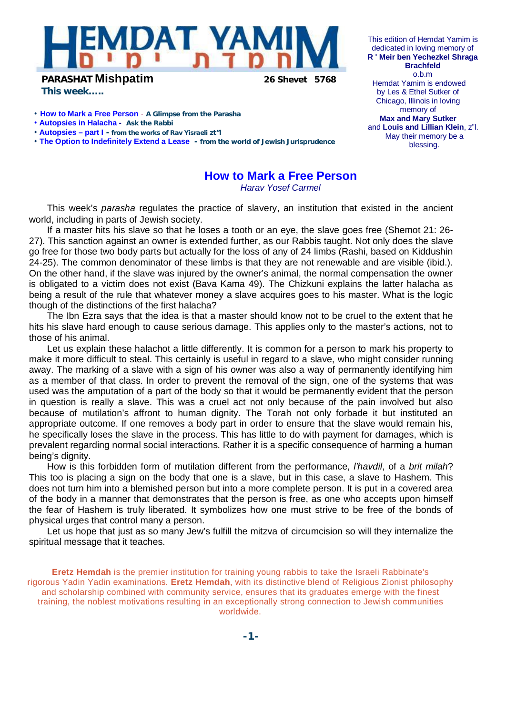

**PARASHAT Mishpatim 26 Shevet 5768**

*This week…..*

• **How to Mark a Free Person** - **A Glimpse from the Parasha**

- **Autopsies in Halacha Ask the Rabbi**
- **Autopsies – part I - from the works of Rav Yisraeli zt"l**

• **The Option to Indefinitely Extend a Lease - from the world of Jewish Jurisprudence** 

**How to Mark a Free Person**

*Harav Yosef Carmel* 

This week's *parasha* regulates the practice of slavery, an institution that existed in the ancient world, including in parts of Jewish society.

If a master hits his slave so that he loses a tooth or an eye, the slave goes free (Shemot 21: 26- 27). This sanction against an owner is extended further, as our Rabbis taught. Not only does the slave go free for those two body parts but actually for the loss of any of 24 limbs (Rashi, based on Kiddushin 24-25). The common denominator of these limbs is that they are not renewable and are visible (ibid.). On the other hand, if the slave was injured by the owner's animal, the normal compensation the owner is obligated to a victim does not exist (Bava Kama 49). The Chizkuni explains the latter halacha as being a result of the rule that whatever money a slave acquires goes to his master. What is the logic though of the distinctions of the first halacha?

The Ibn Ezra says that the idea is that a master should know not to be cruel to the extent that he hits his slave hard enough to cause serious damage. This applies only to the master's actions, not to those of his animal.

Let us explain these halachot a little differently. It is common for a person to mark his property to make it more difficult to steal. This certainly is useful in regard to a slave, who might consider running away. The marking of a slave with a sign of his owner was also a way of permanently identifying him as a member of that class. In order to prevent the removal of the sign, one of the systems that was used was the amputation of a part of the body so that it would be permanently evident that the person in question is really a slave. This was a cruel act not only because of the pain involved but also because of mutilation's affront to human dignity. The Torah not only forbade it but instituted an appropriate outcome. If one removes a body part in order to ensure that the slave would remain his, he specifically loses the slave in the process. This has little to do with payment for damages, which is prevalent regarding normal social interactions. Rather it is a specific consequence of harming a human being's dignity.

How is this forbidden form of mutilation different from the performance, *l'havdil*, of a *brit milah*? This too is placing a sign on the body that one is a slave, but in this case, a slave to Hashem. This does not turn him into a blemished person but into a more complete person. It is put in a covered area of the body in a manner that demonstrates that the person is free, as one who accepts upon himself the fear of Hashem is truly liberated. It symbolizes how one must strive to be free of the bonds of physical urges that control many a person.

Let us hope that just as so many Jew's fulfill the mitzva of circumcision so will they internalize the spiritual message that it teaches.

**Eretz Hemdah** is the premier institution for training young rabbis to take the Israeli Rabbinate's rigorous Yadin Yadin examinations. **Eretz Hemdah**, with its distinctive blend of Religious Zionist philosophy and scholarship combined with community service, ensures that its graduates emerge with the finest training, the noblest motivations resulting in an exceptionally strong connection to Jewish communities worldwide.

This edition of Hemdat Yamim is dedicated in loving memory of **R ' Meir ben Yechezkel Shraga Brachfeld** o.b.m Hemdat Yamim is endowed by Les & Ethel Sutker of Chicago, Illinois in loving memory of **Max and Mary Sutker**  and **Louis and Lillian Klein**, z"l. May their memory be a blessing.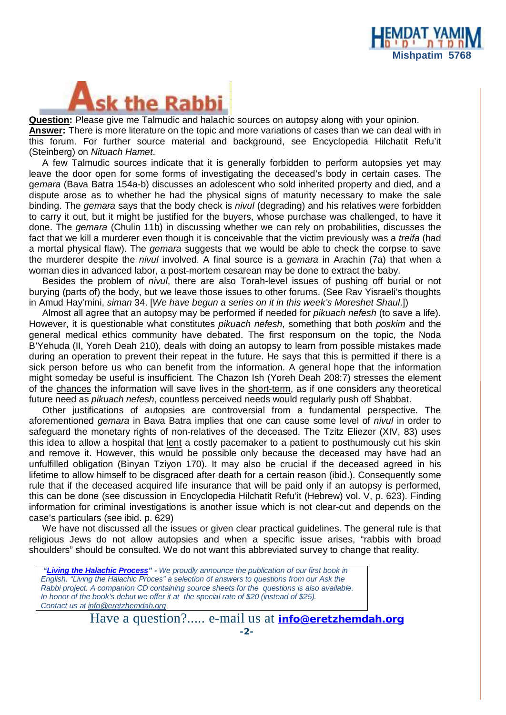

**Question:** Please give me Talmudic and halachic sources on autopsy along with your opinion. **Answer:** There is more literature on the topic and more variations of cases than we can deal with in this forum. For further source material and background, see Encyclopedia Hilchatit Refu'it (Steinberg) on *Nituach Hamet*.

A few Talmudic sources indicate that it is generally forbidden to perform autopsies yet may leave the door open for some forms of investigating the deceased's body in certain cases. The g*emara* (Bava Batra 154a-b) discusses an adolescent who sold inherited property and died, and a dispute arose as to whether he had the physical signs of maturity necessary to make the sale binding. The *gemara* says that the body check is *nivul* (degrading) and his relatives were forbidden to carry it out, but it might be justified for the buyers, whose purchase was challenged, to have it done. The *gemara* (Chulin 11b) in discussing whether we can rely on probabilities, discusses the fact that we kill a murderer even though it is conceivable that the victim previously was a *treifa* (had a mortal physical flaw). The *gemara* suggests that we would be able to check the corpse to save the murderer despite the *nivul* involved. A final source is a *gemara* in Arachin (7a) that when a woman dies in advanced labor, a post-mortem cesarean may be done to extract the baby.

Besides the problem of *nivul*, there are also Torah-level issues of pushing off burial or not burying (parts of) the body, but we leave those issues to other forums. (See Rav Yisraeli's thoughts in Amud Hay'mini, *siman* 34. [*We have begun a series on it in this week's Moreshet Shaul*.])

Almost all agree that an autopsy may be performed if needed for *pikuach nefesh* (to save a life). However, it is questionable what constitutes *pikuach nefesh*, something that both *poskim* and the general medical ethics community have debated. The first responsum on the topic, the Noda B'Yehuda (II, Yoreh Deah 210), deals with doing an autopsy to learn from possible mistakes made during an operation to prevent their repeat in the future. He says that this is permitted if there is a sick person before us who can benefit from the information. A general hope that the information might someday be useful is insufficient. The Chazon Ish (Yoreh Deah 208:7) stresses the element of the chances the information will save lives in the short-term, as if one considers any theoretical future need as *pikuach nefesh*, countless perceived needs would regularly push off Shabbat.

Other justifications of autopsies are controversial from a fundamental perspective. The aforementioned *gemara* in Bava Batra implies that one can cause some level of *nivul* in order to safeguard the monetary rights of non-relatives of the deceased. The Tzitz Eliezer (XIV, 83) uses this idea to allow a hospital that lent a costly pacemaker to a patient to posthumously cut his skin and remove it. However, this would be possible only because the deceased may have had an unfulfilled obligation (Binyan Tziyon 170). It may also be crucial if the deceased agreed in his lifetime to allow himself to be disgraced after death for a certain reason (ibid.). Consequently some rule that if the deceased acquired life insurance that will be paid only if an autopsy is performed, this can be done (see discussion in Encyclopedia Hilchatit Refu'it (Hebrew) vol. V, p. 623). Finding information for criminal investigations is another issue which is not clear-cut and depends on the case's particulars (see ibid. p. 629)

We have not discussed all the issues or given clear practical guidelines. The general rule is that religious Jews do not allow autopsies and when a specific issue arises, "rabbis with broad shoulders" should be consulted. We do not want this abbreviated survey to change that reality.

 *"Living the Halachic Process" - We proudly announce the publication of our first book in English. "Living the Halachic Proces" a selection of answers to questions from our Ask the Rabbi project. A companion CD containing source sheets for the questions is also available. In honor of the book's debut we offer it at the special rate of \$20 (instead of \$25). Contact us at [info@eretzhemdah.org](mailto:info@eretzhemdah.org)*

Have a question?..... e-mail us at **[info@eretzhemdah.org](mailto:info@eretzhemdah.org)**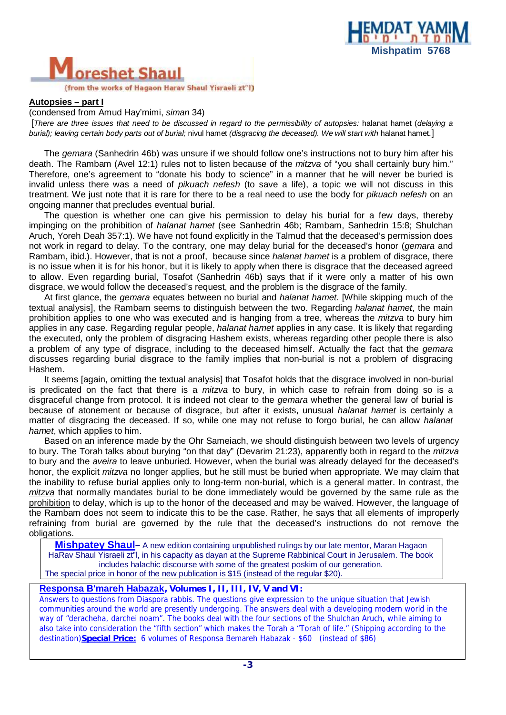

## eshet Shaul

(from the works of Hagaon Harav Shaul Yisraeli zt"l)

## **Autopsies – part I**

(condensed from Amud Hay'mimi, *siman* 34)

[There are three issues that need to be discussed in regard to the permissibility of autopsies: halanat hamet (delaying a *burial); leaving certain body parts out of burial;* nivul hamet *(disgracing the deceased). We will start with* halanat hamet*.*]

The *gemara* (Sanhedrin 46b) was unsure if we should follow one's instructions not to bury him after his death. The Rambam (Avel 12:1) rules not to listen because of the *mitzva* of "you shall certainly bury him." Therefore, one's agreement to "donate his body to science" in a manner that he will never be buried is invalid unless there was a need of *pikuach nefesh* (to save a life), a topic we will not discuss in this treatment. We just note that it is rare for there to be a real need to use the body for *pikuach nefesh* on an ongoing manner that precludes eventual burial.

The question is whether one can give his permission to delay his burial for a few days, thereby impinging on the prohibition of *halanat hamet* (see Sanhedrin 46b; Rambam, Sanhedrin 15:8; Shulchan Aruch, Yoreh Deah 357:1). We have not found explicitly in the Talmud that the deceased's permission does not work in regard to delay. To the contrary, one may delay burial for the deceased's honor (*gemara* and Rambam, ibid.). However, that is not a proof, because since *halanat hamet* is a problem of disgrace, there is no issue when it is for his honor, but it is likely to apply when there is disgrace that the deceased agreed to allow. Even regarding burial, Tosafot (Sanhedrin 46b) says that if it were only a matter of his own disgrace, we would follow the deceased's request, and the problem is the disgrace of the family.

At first glance, the *gemara* equates between no burial and *halanat hamet*. [While skipping much of the textual analysis], the Rambam seems to distinguish between the two. Regarding *halanat hamet*, the main prohibition applies to one who was executed and is hanging from a tree, whereas the *mitzva* to bury him applies in any case. Regarding regular people, *halanat hamet* applies in any case. It is likely that regarding the executed, only the problem of disgracing Hashem exists, whereas regarding other people there is also a problem of any type of disgrace, including to the deceased himself. Actually the fact that the *gemara* discusses regarding burial disgrace to the family implies that non-burial is not a problem of disgracing Hashem.

It seems [again, omitting the textual analysis] that Tosafot holds that the disgrace involved in non-burial is predicated on the fact that there is a *mitzva* to bury, in which case to refrain from doing so is a disgraceful change from protocol. It is indeed not clear to the *gemara* whether the general law of burial is because of atonement or because of disgrace, but after it exists, unusual *halanat hamet* is certainly a matter of disgracing the deceased. If so, while one may not refuse to forgo burial, he can allow *halanat hamet*, which applies to him.

Based on an inference made by the Ohr Sameiach, we should distinguish between two levels of urgency to bury. The Torah talks about burying "on that day" (Devarim 21:23), apparently both in regard to the *mitzva* to bury and the *aveira* to leave unburied. However, when the burial was already delayed for the deceased's honor, the explicit *mitzva* no longer applies, but he still must be buried when appropriate. We may claim that the inability to refuse burial applies only to long-term non-burial, which is a general matter. In contrast, the *mitzva* that normally mandates burial to be done immediately would be governed by the same rule as the prohibition to delay, which is up to the honor of the deceased and may be waived. However, the language of the Rambam does not seem to indicate this to be the case. Rather, he says that all elements of improperly refraining from burial are governed by the rule that the deceased's instructions do not remove the obligations.

**Mishpatey Shaul–** A new edition containing unpublished rulings by our late mentor, Maran Hagaon HaRav Shaul Yisraeli zt"l, in his capacity as dayan at the Supreme Rabbinical Court in Jerusalem. The book includes halachic discourse with some of the greatest poskim of our generation. The special price in honor of the new publication is \$15 (instead of the regular \$20).

## **Responsa B'mareh Habazak***, Volumes I, II, III, IV, V and VI:*

Answers to questions from Diaspora rabbis. The questions give expression to the unique situation that Jewish communities around the world are presently undergoing. The answers deal with a developing modern world in the way of "deracheha, darchei noam". The books deal with the four sections of the Shulchan Aruch, while aiming to also take into consideration the "fifth section" which makes the Torah a "Torah of life." (Shipping according to the destination)**Special Price:** 6 volumes of Responsa Bemareh Habazak - \$60 (instead of \$86)